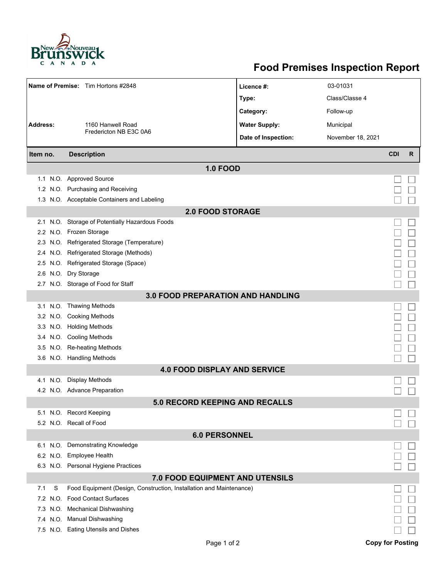

## **Food Premises Inspection Report**

|                                          |      | Name of Premise: Tim Hortons #2848                                  | Licence #:           | 03-01031          |            |   |  |  |  |  |
|------------------------------------------|------|---------------------------------------------------------------------|----------------------|-------------------|------------|---|--|--|--|--|
|                                          |      |                                                                     | Type:                | Class/Classe 4    |            |   |  |  |  |  |
|                                          |      |                                                                     | Category:            | Follow-up         |            |   |  |  |  |  |
| <b>Address:</b>                          |      | 1160 Hanwell Road                                                   | <b>Water Supply:</b> | Municipal         |            |   |  |  |  |  |
|                                          |      | Fredericton NB E3C 0A6                                              | Date of Inspection:  | November 18, 2021 |            |   |  |  |  |  |
|                                          |      |                                                                     |                      |                   |            |   |  |  |  |  |
| Item no.                                 |      | <b>Description</b>                                                  |                      |                   | <b>CDI</b> | R |  |  |  |  |
| <b>1.0 FOOD</b>                          |      |                                                                     |                      |                   |            |   |  |  |  |  |
|                                          |      | 1.1 N.O. Approved Source                                            |                      |                   |            |   |  |  |  |  |
|                                          |      | 1.2 N.O. Purchasing and Receiving                                   |                      |                   |            |   |  |  |  |  |
|                                          |      | 1.3 N.O. Acceptable Containers and Labeling                         |                      |                   |            |   |  |  |  |  |
| <b>2.0 FOOD STORAGE</b>                  |      |                                                                     |                      |                   |            |   |  |  |  |  |
| 2.1                                      |      | N.O. Storage of Potentially Hazardous Foods                         |                      |                   |            |   |  |  |  |  |
|                                          |      | 2.2 N.O. Frozen Storage                                             |                      |                   |            |   |  |  |  |  |
| 2.3                                      |      | N.O. Refrigerated Storage (Temperature)                             |                      |                   |            |   |  |  |  |  |
|                                          |      | 2.4 N.O. Refrigerated Storage (Methods)                             |                      |                   |            |   |  |  |  |  |
|                                          |      | 2.5 N.O. Refrigerated Storage (Space)                               |                      |                   |            |   |  |  |  |  |
| 2.6                                      |      | N.O. Dry Storage                                                    |                      |                   |            |   |  |  |  |  |
|                                          |      | 2.7 N.O. Storage of Food for Staff                                  |                      |                   |            |   |  |  |  |  |
| <b>3.0 FOOD PREPARATION AND HANDLING</b> |      |                                                                     |                      |                   |            |   |  |  |  |  |
|                                          |      | 3.1 N.O. Thawing Methods                                            |                      |                   |            |   |  |  |  |  |
|                                          |      | 3.2 N.O. Cooking Methods                                            |                      |                   |            |   |  |  |  |  |
|                                          |      | 3.3 N.O. Holding Methods                                            |                      |                   |            |   |  |  |  |  |
|                                          |      | 3.4 N.O. Cooling Methods                                            |                      |                   |            |   |  |  |  |  |
| 3.5                                      |      | N.O. Re-heating Methods                                             |                      |                   |            |   |  |  |  |  |
|                                          |      | 3.6 N.O. Handling Methods                                           |                      |                   |            |   |  |  |  |  |
|                                          |      | <b>4.0 FOOD DISPLAY AND SERVICE</b>                                 |                      |                   |            |   |  |  |  |  |
| 4.1                                      | N.O. | <b>Display Methods</b>                                              |                      |                   |            |   |  |  |  |  |
|                                          |      | 4.2 N.O. Advance Preparation                                        |                      |                   |            |   |  |  |  |  |
|                                          |      | <b>5.0 RECORD KEEPING AND RECALLS</b>                               |                      |                   |            |   |  |  |  |  |
|                                          |      | 5.1 N.O. Record Keeping                                             |                      |                   |            |   |  |  |  |  |
|                                          |      | 5.2 N.O. Recall of Food                                             |                      |                   |            |   |  |  |  |  |
| <b>6.0 PERSONNEL</b>                     |      |                                                                     |                      |                   |            |   |  |  |  |  |
|                                          |      | 6.1 N.O. Demonstrating Knowledge                                    |                      |                   |            |   |  |  |  |  |
|                                          |      | 6.2 N.O. Employee Health                                            |                      |                   |            |   |  |  |  |  |
|                                          |      | 6.3 N.O. Personal Hygiene Practices                                 |                      |                   |            |   |  |  |  |  |
| 7.0 FOOD EQUIPMENT AND UTENSILS          |      |                                                                     |                      |                   |            |   |  |  |  |  |
| 7.1                                      | S    | Food Equipment (Design, Construction, Installation and Maintenance) |                      |                   |            |   |  |  |  |  |
| 7.2                                      | N.O. | <b>Food Contact Surfaces</b>                                        |                      |                   |            |   |  |  |  |  |
| 7.3                                      | N.O. | Mechanical Dishwashing                                              |                      |                   |            |   |  |  |  |  |
|                                          |      | 7.4 N.O. Manual Dishwashing                                         |                      |                   |            |   |  |  |  |  |
|                                          |      | 7.5 N.O. Eating Utensils and Dishes                                 |                      |                   |            |   |  |  |  |  |